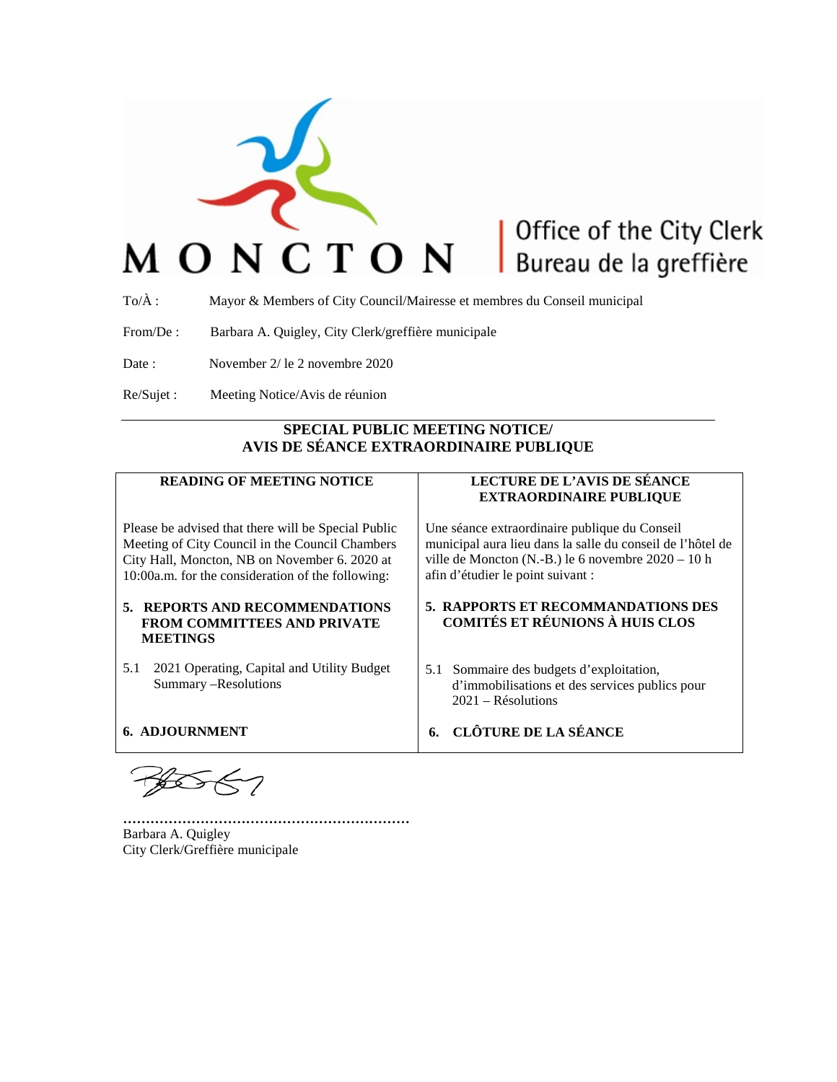

# Office of the City Clerk Bureau de la greffière

To/À : Mayor & Members of City Council/Mairesse et membres du Conseil municipal

From/De : Barbara A. Quigley, City Clerk/greffière municipale

Date : November 2/ le 2 novembre 2020

Re/Sujet : Meeting Notice/Avis de réunion

# **SPECIAL PUBLIC MEETING NOTICE/ AVIS DE SÉANCE EXTRAORDINAIRE PUBLIQUE**

# **READING OF MEETING NOTICE**

Please be advised that there will be Special Public Meeting of City Council in the Council Chambers City Hall, Moncton, NB on November 6. 2020 at 10:00a.m. for the consideration of the following:

#### **5. REPORTS AND RECOMMENDATIONS FROM COMMITTEES AND PRIVATE MEETINGS**

5.1 2021 Operating, Capital and Utility Budget Summary –Resolutions

#### **6. ADJOURNMENT**

**………………………………………………………** Barbara A. Quigley City Clerk/Greffière municipale

### **LECTURE DE L'AVIS DE SÉANCE EXTRAORDINAIRE PUBLIQUE**

Une séance extraordinaire publique du Conseil municipal aura lieu dans la salle du conseil de l'hôtel de ville de Moncton (N.-B.) le 6 novembre 2020 – 10 h afin d'étudier le point suivant :

#### **5. RAPPORTS ET RECOMMANDATIONS DES COMITÉS ET RÉUNIONS À HUIS CLOS**

- 5.1 Sommaire des budgets d'exploitation, d'immobilisations et des services publics pour 2021 – Résolutions
- **6. CLÔTURE DE LA SÉANCE**